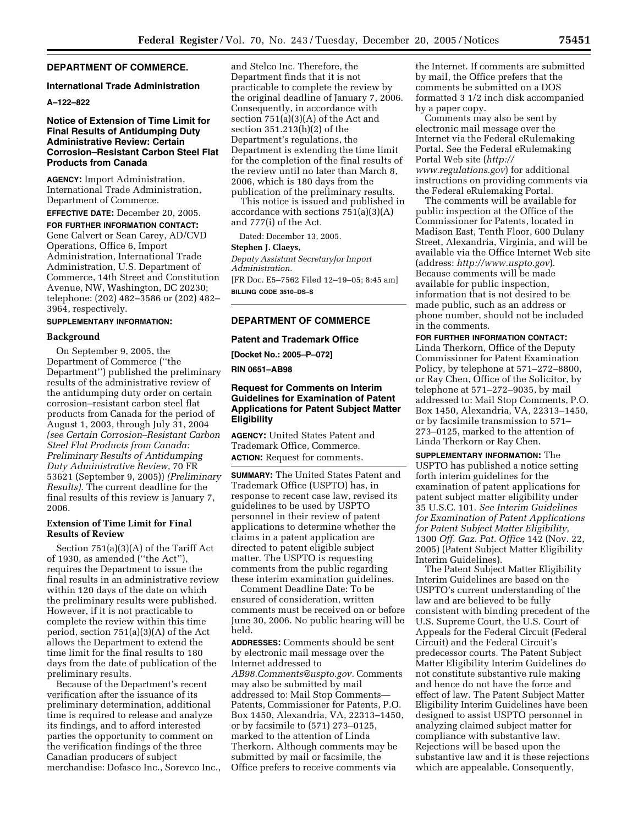## **DEPARTMENT OF COMMERCE.**

#### **International Trade Administration**

#### **A–122–822**

### **Notice of Extension of Time Limit for Final Results of Antidumping Duty Administrative Review: Certain Corrosion–Resistant Carbon Steel Flat Products from Canada**

**AGENCY:** Import Administration, International Trade Administration, Department of Commerce.

**EFFECTIVE DATE:** December 20, 2005.

**FOR FURTHER INFORMATION CONTACT:**  Gene Calvert or Sean Carey, AD/CVD Operations, Office 6, Import Administration, International Trade Administration, U.S. Department of Commerce, 14th Street and Constitution Avenue, NW, Washington, DC 20230; telephone: (202) 482–3586 or (202) 482– 3964, respectively.

### **SUPPLEMENTARY INFORMATION:**

#### **Background**

On September 9, 2005, the Department of Commerce (''the Department'') published the preliminary results of the administrative review of the antidumping duty order on certain corrosion–resistant carbon steel flat products from Canada for the period of August 1, 2003, through July 31, 2004 *(see Certain Corrosion–Resistant Carbon Steel Flat Products from Canada: Preliminary Results of Antidumping Duty Administrative Review*, 70 FR 53621 (September 9, 2005)) *(Preliminary Results)*. The current deadline for the final results of this review is January 7, 2006.

## **Extension of Time Limit for Final Results of Review**

Section 751(a)(3)(A) of the Tariff Act of 1930, as amended (''the Act''), requires the Department to issue the final results in an administrative review within 120 days of the date on which the preliminary results were published. However, if it is not practicable to complete the review within this time period, section 751(a)(3)(A) of the Act allows the Department to extend the time limit for the final results to 180 days from the date of publication of the preliminary results.

Because of the Department's recent verification after the issuance of its preliminary determination, additional time is required to release and analyze its findings, and to afford interested parties the opportunity to comment on the verification findings of the three Canadian producers of subject merchandise: Dofasco Inc., Sorevco Inc., and Stelco Inc. Therefore, the Department finds that it is not practicable to complete the review by the original deadline of January 7, 2006. Consequently, in accordance with section 751(a)(3)(A) of the Act and section 351.213(h)(2) of the Department's regulations, the Department is extending the time limit for the completion of the final results of the review until no later than March 8, 2006, which is 180 days from the publication of the preliminary results.

This notice is issued and published in accordance with sections 751(a)(3)(A) and 777(i) of the Act.

Dated: December 13, 2005.

### **Stephen J. Claeys,**

*Deputy Assistant Secretaryfor Import Administration.*  [FR Doc. E5–7562 Filed 12–19–05; 8:45 am] **BILLING CODE 3510–DS–S** 

# **DEPARTMENT OF COMMERCE**

#### **Patent and Trademark Office**

**[Docket No.: 2005–P–072]** 

**RIN 0651–AB98** 

### **Request for Comments on Interim Guidelines for Examination of Patent Applications for Patent Subject Matter Eligibility**

**AGENCY:** United States Patent and Trademark Office, Commerce. **ACTION:** Request for comments.

**SUMMARY:** The United States Patent and Trademark Office (USPTO) has, in response to recent case law, revised its guidelines to be used by USPTO personnel in their review of patent applications to determine whether the claims in a patent application are directed to patent eligible subject matter. The USPTO is requesting comments from the public regarding these interim examination guidelines.

Comment Deadline Date: To be ensured of consideration, written comments must be received on or before June 30, 2006. No public hearing will be held.

**ADDRESSES:** Comments should be sent by electronic mail message over the Internet addressed to *AB98.Comments@uspto.gov.* Comments may also be submitted by mail addressed to: Mail Stop Comments— Patents, Commissioner for Patents, P.O. Box 1450, Alexandria, VA, 22313–1450, or by facsimile to (571) 273–0125, marked to the attention of Linda Therkorn. Although comments may be submitted by mail or facsimile, the Office prefers to receive comments via

the Internet. If comments are submitted by mail, the Office prefers that the comments be submitted on a DOS formatted 3 1/2 inch disk accompanied by a paper copy.

Comments may also be sent by electronic mail message over the Internet via the Federal eRulemaking Portal. See the Federal eRulemaking Portal Web site (*http:// www.regulations.gov*) for additional instructions on providing comments via the Federal eRulemaking Portal.

The comments will be available for public inspection at the Office of the Commissioner for Patents, located in Madison East, Tenth Floor, 600 Dulany Street, Alexandria, Virginia, and will be available via the Office Internet Web site (address: *http://www.uspto.gov*). Because comments will be made available for public inspection, information that is not desired to be made public, such as an address or phone number, should not be included in the comments.

# **FOR FURTHER INFORMATION CONTACT:**

Linda Therkorn, Office of the Deputy Commissioner for Patent Examination Policy, by telephone at 571–272–8800, or Ray Chen, Office of the Solicitor, by telephone at 571–272–9035, by mail addressed to: Mail Stop Comments, P.O. Box 1450, Alexandria, VA, 22313–1450, or by facsimile transmission to 571– 273–0125, marked to the attention of Linda Therkorn or Ray Chen.

**SUPPLEMENTARY INFORMATION:** The USPTO has published a notice setting forth interim guidelines for the examination of patent applications for patent subject matter eligibility under 35 U.S.C. 101. *See Interim Guidelines for Examination of Patent Applications for Patent Subject Matter Eligibility,*  1300 *Off. Gaz. Pat. Office* 142 (Nov. 22, 2005) (Patent Subject Matter Eligibility Interim Guidelines).

The Patent Subject Matter Eligibility Interim Guidelines are based on the USPTO's current understanding of the law and are believed to be fully consistent with binding precedent of the U.S. Supreme Court, the U.S. Court of Appeals for the Federal Circuit (Federal Circuit) and the Federal Circuit's predecessor courts. The Patent Subject Matter Eligibility Interim Guidelines do not constitute substantive rule making and hence do not have the force and effect of law. The Patent Subject Matter Eligibility Interim Guidelines have been designed to assist USPTO personnel in analyzing claimed subject matter for compliance with substantive law. Rejections will be based upon the substantive law and it is these rejections which are appealable. Consequently,